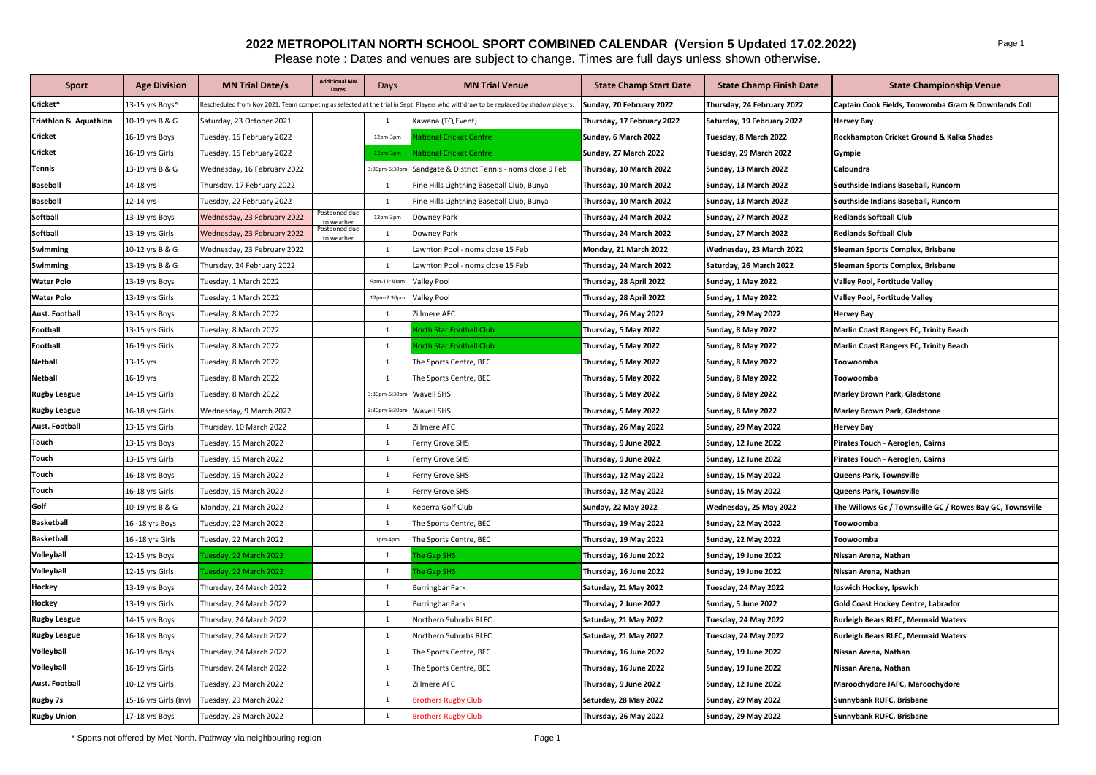## **2022 METROPOLITAN NORTH SCHOOL SPORT COMBINED CALENDAR (Version 5 Updated 17.02.2022)**

Please note : Dates and venues are subject to change. Times are full days unless shown otherwise.

| <b>Sport</b>          | <b>Age Division</b>   | <b>MN Trial Date/s</b>      | <b>Additional MN</b><br><b>Dates</b> | Days          | <b>MN Trial Venue</b>                                                                                                              | <b>State Champ Start Date</b> | <b>State Champ Finish Date</b> | <b>State Championship Venue</b>                           |
|-----------------------|-----------------------|-----------------------------|--------------------------------------|---------------|------------------------------------------------------------------------------------------------------------------------------------|-------------------------------|--------------------------------|-----------------------------------------------------------|
| Cricket^              | 13-15 yrs Boys^       |                             |                                      |               | Rescheduled from Nov 2021. Team competing as selected at the trial in Sept. Players who withdraw to be replaced by shadow players. | Sunday, 20 February 2022      | Thursday, 24 February 2022     | Captain Cook Fields, Toowomba Gram & Downlands Coll       |
| Triathlon & Aquathlon | 10-19 yrs B & G       | Saturday, 23 October 2021   |                                      | $\mathbf{1}$  | Kawana (TQ Event)                                                                                                                  | Thursday, 17 February 2022    | Saturday, 19 February 2022     | <b>Hervey Bay</b>                                         |
| Cricket               | 16-19 yrs Boys        | Tuesday, 15 February 2022   |                                      | 12pm-3pm      | <b>National Cricket Centre</b>                                                                                                     | Sunday, 6 March 2022          | Tuesday, 8 March 2022          | Rockhampton Cricket Ground & Kalka Shades                 |
| Cricket               | 16-19 yrs Girls       | Tuesday, 15 February 2022   |                                      | 12pm-3pm      | <b>National Cricket Centre</b>                                                                                                     | Sunday, 27 March 2022         | Tuesday, 29 March 2022         | Gympie                                                    |
| Tennis                | 13-19 yrs B & G       | Wednesday, 16 February 2022 |                                      | 3:30pm-6:30pn | Sandgate & District Tennis - noms close 9 Feb                                                                                      | Thursday, 10 March 2022       | Sunday, 13 March 2022          | Caloundra                                                 |
| <b>Baseball</b>       | 14-18 yrs             | Thursday, 17 February 2022  |                                      | $\mathbf{1}$  | Pine Hills Lightning Baseball Club, Bunya                                                                                          | Thursday, 10 March 2022       | Sunday, 13 March 2022          | Southside Indians Baseball, Runcorn                       |
| <b>Baseball</b>       | 12-14 yrs             | Tuesday, 22 February 2022   |                                      | 1             | Pine Hills Lightning Baseball Club, Bunya                                                                                          | Thursday, 10 March 2022       | Sunday, 13 March 2022          | Southside Indians Baseball, Runcorn                       |
| Softball              | 13-19 yrs Boys        | Wednesday, 23 February 2022 | ostponed due<br>to weather           | 12pm-3pm      | Downey Park                                                                                                                        | Thursday, 24 March 2022       | Sunday, 27 March 2022          | <b>Redlands Softball Club</b>                             |
| <b>Softball</b>       | 13-19 yrs Girls       | Wednesday, 23 February 2022 | Postponed due<br>to weather          | $\mathbf{1}$  | Downey Park                                                                                                                        | Thursday, 24 March 2022       | Sunday, 27 March 2022          | <b>Redlands Softball Club</b>                             |
| Swimming              | 10-12 yrs B & G       | Wednesday, 23 February 2022 |                                      | $\mathbf{1}$  | Lawnton Pool - noms close 15 Feb                                                                                                   | Monday, 21 March 2022         | Wednesday, 23 March 2022       | Sleeman Sports Complex, Brisbane                          |
| Swimming              | 13-19 yrs B & G       | Thursday, 24 February 2022  |                                      | 1             | Lawnton Pool - noms close 15 Feb                                                                                                   | Thursday, 24 March 2022       | Saturday, 26 March 2022        | Sleeman Sports Complex, Brisbane                          |
| <b>Water Polo</b>     | 13-19 yrs Boys        | Tuesday, 1 March 2022       |                                      | 9am-11:30am   | <b>Valley Pool</b>                                                                                                                 | Thursday, 28 April 2022       | Sunday, 1 May 2022             | Valley Pool, Fortitude Valley                             |
| <b>Water Polo</b>     | 13-19 yrs Girls       | Tuesday, 1 March 2022       |                                      | 12pm-2:30pm   | <b>Valley Pool</b>                                                                                                                 | Thursday, 28 April 2022       | Sunday, 1 May 2022             | Valley Pool, Fortitude Valley                             |
| Aust. Football        | 13-15 yrs Boys        | Tuesday, 8 March 2022       |                                      | $\mathbf{1}$  | Zillmere AFC                                                                                                                       | Thursday, 26 May 2022         | <b>Sunday, 29 May 2022</b>     | <b>Hervey Bay</b>                                         |
| Football              | 13-15 yrs Girls       | Tuesday, 8 March 2022       |                                      | 1             | orth Star Football Club                                                                                                            | Thursday, 5 May 2022          | Sunday, 8 May 2022             | Marlin Coast Rangers FC, Trinity Beach                    |
| Football              | 16-19 yrs Girls       | Tuesday, 8 March 2022       |                                      | $\mathbf{1}$  | <b>Jorth Star Football Club</b>                                                                                                    | Thursday, 5 May 2022          | Sunday, 8 May 2022             | <b>Marlin Coast Rangers FC, Trinity Beach</b>             |
| Netball               | 13-15 yrs             | Tuesday, 8 March 2022       |                                      | $\mathbf{1}$  | The Sports Centre, BEC                                                                                                             | Thursday, 5 May 2022          | Sunday, 8 May 2022             | Toowoomba                                                 |
| Netball               | 16-19 yrs             | Tuesday, 8 March 2022       |                                      | 1             | The Sports Centre, BEC                                                                                                             | Thursday, 5 May 2022          | Sunday, 8 May 2022             | Toowoomba                                                 |
| <b>Rugby League</b>   | 14-15 yrs Girls       | Tuesday, 8 March 2022       |                                      | 3:30pm-6:30pr | Wavell SHS                                                                                                                         | Thursday, 5 May 2022          | Sunday, 8 May 2022             | <b>Marley Brown Park, Gladstone</b>                       |
| <b>Rugby League</b>   | 16-18 yrs Girls       | Wednesday, 9 March 2022     |                                      | 3:30pm-6:30pn | Wavell SHS                                                                                                                         | Thursday, 5 May 2022          | Sunday, 8 May 2022             | <b>Marley Brown Park, Gladstone</b>                       |
| Aust. Football        | 13-15 yrs Girls       | Thursday, 10 March 2022     |                                      | $\mathbf{1}$  | Zillmere AFC                                                                                                                       | Thursday, 26 May 2022         | <b>Sunday, 29 May 2022</b>     | <b>Hervey Bay</b>                                         |
| Touch                 | 13-15 yrs Boys        | Tuesday, 15 March 2022      |                                      | 1             | Ferny Grove SHS                                                                                                                    | Thursday, 9 June 2022         | Sunday, 12 June 2022           | Pirates Touch - Aeroglen, Cairns                          |
| Touch                 | 13-15 yrs Girls       | Tuesday, 15 March 2022      |                                      | $\mathbf{1}$  | Ferny Grove SHS                                                                                                                    | Thursday, 9 June 2022         | Sunday, 12 June 2022           | Pirates Touch - Aeroglen, Cairns                          |
| Touch                 | 16-18 yrs Boys        | Tuesday, 15 March 2022      |                                      | $\mathbf{1}$  | Ferny Grove SHS                                                                                                                    | Thursday, 12 May 2022         | <b>Sunday, 15 May 2022</b>     | Queens Park, Townsville                                   |
| Touch                 | 16-18 yrs Girls       | Tuesday, 15 March 2022      |                                      | 1             | Ferny Grove SHS                                                                                                                    | Thursday, 12 May 2022         | <b>Sunday, 15 May 2022</b>     | Queens Park, Townsville                                   |
| Golf                  | 10-19 yrs B & G       | Monday, 21 March 2022       |                                      | $\mathbf{1}$  | Keperra Golf Club                                                                                                                  | Sunday, 22 May 2022           | Wednesday, 25 May 2022         | The Willows Gc / Townsville GC / Rowes Bay GC, Townsville |
| <b>Basketball</b>     | 16 - 18 yrs Boys      | Tuesday, 22 March 2022      |                                      | $\mathbf{1}$  | The Sports Centre, BEC                                                                                                             | Thursday, 19 May 2022         | <b>Sunday, 22 May 2022</b>     | Toowoomba                                                 |
| <b>Basketball</b>     | 16 - 18 yrs Girls     | Tuesday, 22 March 2022      |                                      | 1pm-4pm       | The Sports Centre, BEC                                                                                                             | Thursday, 19 May 2022         | <b>Sunday, 22 May 2022</b>     | Toowoomba                                                 |
| Volleyball            | 12-15 yrs Boys        | Jesday, 22 March 2022       |                                      | $\mathbf{1}$  | he Gap SHS                                                                                                                         | Thursday, 16 June 2022        | Sunday, 19 June 2022           | Nissan Arena, Nathan                                      |
| Volleyball            | 12-15 yrs Girls       | uesday, 22 March 2022       |                                      | $\mathbf{1}$  | he Gap SHS                                                                                                                         | Thursday, 16 June 2022        | Sunday, 19 June 2022           | Nissan Arena, Nathan                                      |
| Hockey                | 13-19 yrs Boys        | Thursday, 24 March 2022     |                                      | $\mathbf{1}$  | <b>Burringbar Park</b>                                                                                                             | Saturday, 21 May 2022         | Tuesday, 24 May 2022           | Ipswich Hockey, Ipswich                                   |
| Hockey                | 13-19 yrs Girls       | Thursday, 24 March 2022     |                                      | 1             | <b>Burringbar Park</b>                                                                                                             | Thursday, 2 June 2022         | Sunday, 5 June 2022            | Gold Coast Hockey Centre, Labrador                        |
| <b>Rugby League</b>   | 14-15 yrs Boys        | Thursday, 24 March 2022     |                                      | $\mathbf{1}$  | Northern Suburbs RLFC                                                                                                              | Saturday, 21 May 2022         | Tuesday, 24 May 2022           | <b>Burleigh Bears RLFC, Mermaid Waters</b>                |
| <b>Rugby League</b>   | 16-18 yrs Boys        | Thursday, 24 March 2022     |                                      | $1\,$         | Northern Suburbs RLFC                                                                                                              | Saturday, 21 May 2022         | Tuesday, 24 May 2022           | <b>Burleigh Bears RLFC, Mermaid Waters</b>                |
| Volleyball            | 16-19 yrs Boys        | Thursday, 24 March 2022     |                                      | $\mathbf{1}$  | The Sports Centre, BEC                                                                                                             | Thursday, 16 June 2022        | Sunday, 19 June 2022           | Nissan Arena, Nathan                                      |
| Volleyball            | 16-19 yrs Girls       | Thursday, 24 March 2022     |                                      | $\mathbf{1}$  | The Sports Centre, BEC                                                                                                             | Thursday, 16 June 2022        | Sunday, 19 June 2022           | Nissan Arena, Nathan                                      |
| Aust. Football        | 10-12 yrs Girls       | Tuesday, 29 March 2022      |                                      | $\mathbf{1}$  | Zillmere AFC                                                                                                                       | Thursday, 9 June 2022         | Sunday, 12 June 2022           | Maroochydore JAFC, Maroochydore                           |
| <b>Rugby 7s</b>       | 15-16 yrs Girls (Inv) | Tuesday, 29 March 2022      |                                      | $\mathbf{1}$  | <b>Brothers Rugby Club</b>                                                                                                         | Saturday, 28 May 2022         | <b>Sunday, 29 May 2022</b>     | Sunnybank RUFC, Brisbane                                  |
| <b>Rugby Union</b>    | 17-18 yrs Boys        | Tuesday, 29 March 2022      |                                      | 1             | <b>Brothers Rugby Club</b>                                                                                                         | Thursday, 26 May 2022         | <b>Sunday, 29 May 2022</b>     | Sunnybank RUFC, Brisbane                                  |